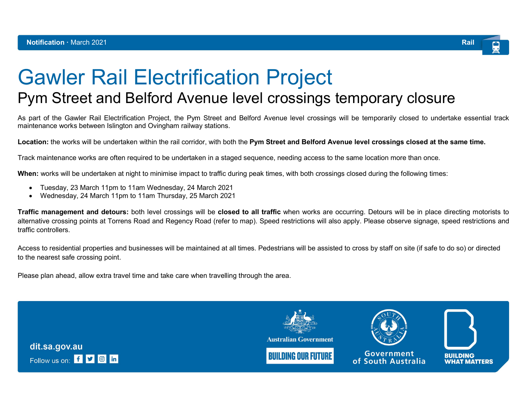

## Gawler Rail Electrification Project Pym Street and Belford Avenue level crossings temporary closure

As part of the Gawler Rail Electrification Project, the Pym Street and Belford Avenue level crossings will be temporarily closed to undertake essential track maintenance works between Islington and Ovingham railway stations.

Location: the works will be undertaken within the rail corridor, with both the Pym Street and Belford Avenue level crossings closed at the same time.

Track maintenance works are often required to be undertaken in a staged sequence, needing access to the same location more than once.

When: works will be undertaken at night to minimise impact to traffic during peak times, with both crossings closed during the following times:

- Tuesday, 23 March 11pm to 11am Wednesday, 24 March 2021
- Wednesday, 24 March 11pm to 11am Thursday, 25 March 2021

**Traffic management and detours:** both level crossings will be **closed to all traffic** when works are occurring. Detours will be in place directing motorists to alternative crossing points at Torrens Road and Regency Road (refer to map). Speed restrictions will also apply. Please observe signage, speed restrictions and traffic controllers.

Access to residential properties and businesses will be maintained at all times. Pedestrians will be assisted to cross by staff on site (if safe to do so) or directed to the nearest safe crossing point.

Please plan ahead, allow extra travel time and take care when travelling through the area.